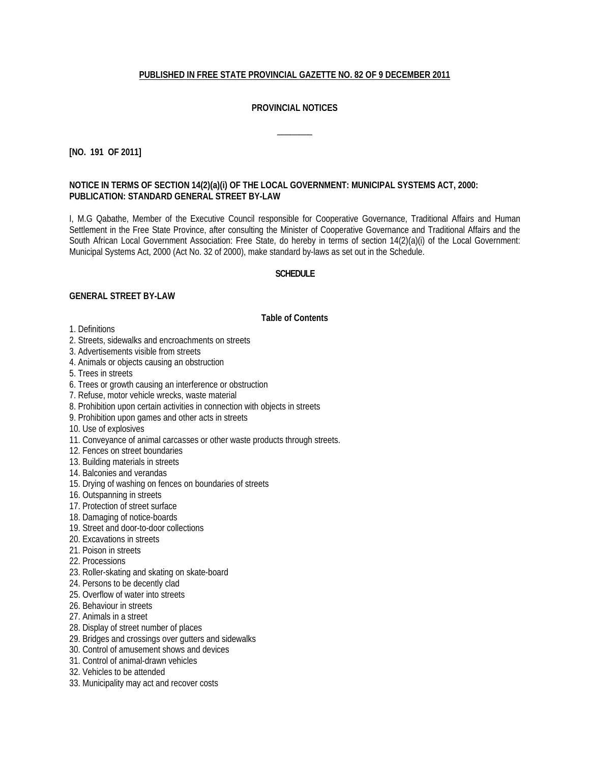## **PUBLISHED IN FREE STATE PROVINCIAL GAZETTE NO. 82 OF 9 DECEMBER 2011**

## **PROVINCIAL NOTICES**

 $\overline{\phantom{a}}$ 

### **[NO. 191 OF 2011]**

### **NOTICE IN TERMS OF SECTION 14(2)(a)(i) OF THE LOCAL GOVERNMENT: MUNICIPAL SYSTEMS ACT, 2000: PUBLICATION: STANDARD GENERAL STREET BY-LAW**

I, M.G Qabathe, Member of the Executive Council responsible for Cooperative Governance, Traditional Affairs and Human Settlement in the Free State Province, after consulting the Minister of Cooperative Governance and Traditional Affairs and the South African Local Government Association: Free State, do hereby in terms of section 14(2)(a)(i) of the Local Government: Municipal Systems Act, 2000 (Act No. 32 of 2000), make standard by-laws as set out in the Schedule.

#### **SCHEDULE**

#### **GENERAL STREET BY-LAW**

#### **Table of Contents**

- 1. Definitions
- 2. Streets, sidewalks and encroachments on streets
- 3. Advertisements visible from streets
- 4. Animals or objects causing an obstruction
- 5. Trees in streets
- 6. Trees or growth causing an interference or obstruction
- 7. Refuse, motor vehicle wrecks, waste material
- 8. Prohibition upon certain activities in connection with objects in streets
- 9. Prohibition upon games and other acts in streets
- 10. Use of explosives
- 11. Conveyance of animal carcasses or other waste products through streets.
- 12. Fences on street boundaries
- 13. Building materials in streets
- 14. Balconies and verandas
- 15. Drying of washing on fences on boundaries of streets
- 16. Outspanning in streets
- 17. Protection of street surface
- 18. Damaging of notice-boards
- 19. Street and door-to-door collections
- 20. Excavations in streets
- 21. Poison in streets
- 22. Processions
- 23. Roller-skating and skating on skate-board
- 24. Persons to be decently clad
- 25. Overflow of water into streets
- 26. Behaviour in streets
- 27. Animals in a street
- 28. Display of street number of places
- 29. Bridges and crossings over gutters and sidewalks
- 30. Control of amusement shows and devices
- 31. Control of animal-drawn vehicles
- 32. Vehicles to be attended
- 33. Municipality may act and recover costs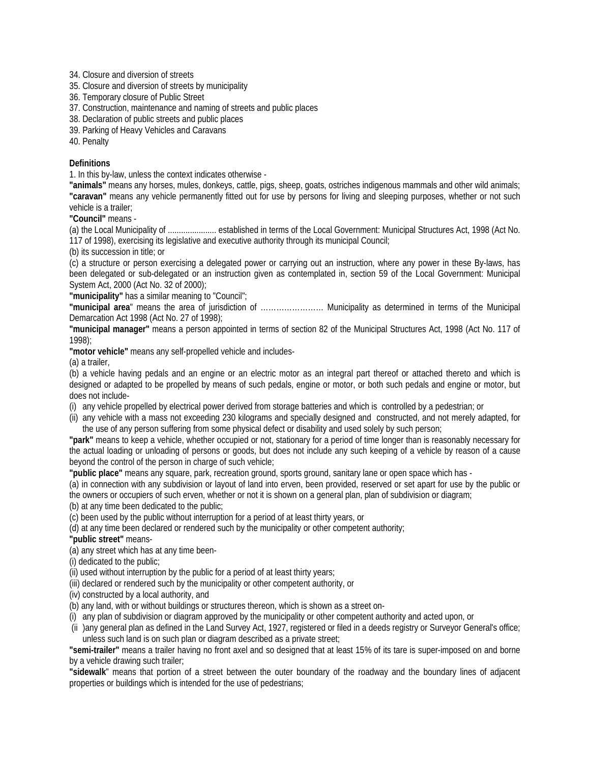34. Closure and diversion of streets

35. Closure and diversion of streets by municipality

36. Temporary closure of Public Street

37. Construction, maintenance and naming of streets and public places

38. Declaration of public streets and public places

39. Parking of Heavy Vehicles and Caravans

40. Penalty

### **Definitions**

1. In this by-law, unless the context indicates otherwise -

**"animals"** means any horses, mules, donkeys, cattle, pigs, sheep, goats, ostriches indigenous mammals and other wild animals; **"caravan"** means any vehicle permanently fitted out for use by persons for living and sleeping purposes, whether or not such vehicle is a trailer;

**"Council"** means -

(a) the Local Municipality of ...................... established in terms of the Local Government: Municipal Structures Act, 1998 (Act No. 117 of 1998), exercising its legislative and executive authority through its municipal Council;

(b) its succession in title; or

(c) a structure or person exercising a delegated power or carrying out an instruction, where any power in these By-laws, has been delegated or sub-delegated or an instruction given as contemplated in, section 59 of the Local Government: Municipal System Act, 2000 (Act No. 32 of 2000);

**"municipality"** has a similar meaning to "Council";

**"municipal area**" means the area of jurisdiction of …………………… Municipality as determined in terms of the Municipal Demarcation Act 1998 (Act No. 27 of 1998);

**"municipal manager"** means a person appointed in terms of section 82 of the Municipal Structures Act, 1998 (Act No. 117 of 1998);

**"motor vehicle"** means any self-propelled vehicle and includes-

(a) a trailer,

(b) a vehicle having pedals and an engine or an electric motor as an integral part thereof or attached thereto and which is designed or adapted to be propelled by means of such pedals, engine or motor, or both such pedals and engine or motor, but does not include-

(i) any vehicle propelled by electrical power derived from storage batteries and which is controlled by a pedestrian; or

(ii) any vehicle with a mass not exceeding 230 kilograms and specially designed and constructed, and not merely adapted, for the use of any person suffering from some physical defect or disability and used solely by such person;

**"park"** means to keep a vehicle, whether occupied or not, stationary for a period of time longer than is reasonably necessary for the actual loading or unloading of persons or goods, but does not include any such keeping of a vehicle by reason of a cause beyond the control of the person in charge of such vehicle;

**"public place"** means any square, park, recreation ground, sports ground, sanitary lane or open space which has -

(a) in connection with any subdivision or layout of land into erven, been provided, reserved or set apart for use by the public or the owners or occupiers of such erven, whether or not it is shown on a general plan, plan of subdivision or diagram;

(b) at any time been dedicated to the public;

(c) been used by the public without interruption for a period of at least thirty years, or

(d) at any time been declared or rendered such by the municipality or other competent authority;

**"public street"** means-

(a) any street which has at any time been-

(i) dedicated to the public;

(ii) used without interruption by the public for a period of at least thirty years;

(iii) declared or rendered such by the municipality or other competent authority, or

(iv) constructed by a local authority, and

(b) any land, with or without buildings or structures thereon, which is shown as a street on-

(i) any plan of subdivision or diagram approved by the municipality or other competent authority and acted upon, or

(ii )any general plan as defined in the Land Survey Act, 1927, registered or filed in a deeds registry or Surveyor General's office; unless such land is on such plan or diagram described as a private street;

**"semi-trailer"** means a trailer having no front axel and so designed that at least 15% of its tare is super-imposed on and borne by a vehicle drawing such trailer;

**"sidewalk**" means that portion of a street between the outer boundary of the roadway and the boundary lines of adjacent properties or buildings which is intended for the use of pedestrians;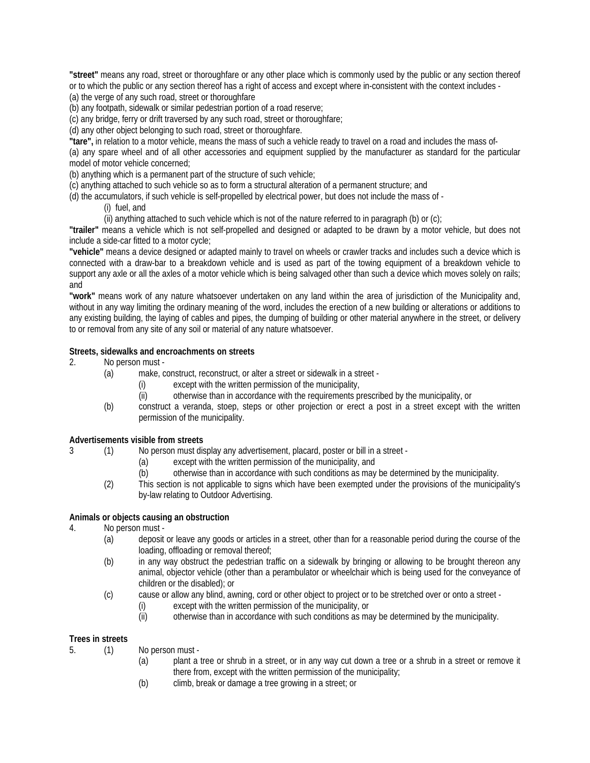**"street"** means any road, street or thoroughfare or any other place which is commonly used by the public or any section thereof or to which the public or any section thereof has a right of access and except where in-consistent with the context includes - (a) the verge of any such road, street or thoroughfare

(b) any footpath, sidewalk or similar pedestrian portion of a road reserve;

(c) any bridge, ferry or drift traversed by any such road, street or thoroughfare;

(d) any other object belonging to such road, street or thoroughfare.

**"tare",** in relation to a motor vehicle, means the mass of such a vehicle ready to travel on a road and includes the mass of-

(a) any spare wheel and of all other accessories and equipment supplied by the manufacturer as standard for the particular model of motor vehicle concerned;

(b) anything which is a permanent part of the structure of such vehicle;

(c) anything attached to such vehicle so as to form a structural alteration of a permanent structure; and

(d) the accumulators, if such vehicle is self-propelled by electrical power, but does not include the mass of -

(i) fuel, and

(ii) anything attached to such vehicle which is not of the nature referred to in paragraph (b) or (c);

**"trailer"** means a vehicle which is not self-propelled and designed or adapted to be drawn by a motor vehicle, but does not include a side-car fitted to a motor cycle;

**"vehicle"** means a device designed or adapted mainly to travel on wheels or crawler tracks and includes such a device which is connected with a draw-bar to a breakdown vehicle and is used as part of the towing equipment of a breakdown vehicle to support any axle or all the axles of a motor vehicle which is being salvaged other than such a device which moves solely on rails; and

**"work"** means work of any nature whatsoever undertaken on any land within the area of jurisdiction of the Municipality and, without in any way limiting the ordinary meaning of the word, includes the erection of a new building or alterations or additions to any existing building, the laying of cables and pipes, the dumping of building or other material anywhere in the street, or delivery to or removal from any site of any soil or material of any nature whatsoever.

#### **Streets, sidewalks and encroachments on streets**

2. No person must -

- (a) make, construct, reconstruct, or alter a street or sidewalk in a street
	- (i) except with the written permission of the municipality,
	- (ii) otherwise than in accordance with the requirements prescribed by the municipality, or
- (b) construct a veranda, stoep, steps or other projection or erect a post in a street except with the written permission of the municipality.

# **Advertisements visible from streets**<br>3 (1) No person must dis

3 (1) No person must display any advertisement, placard, poster or bill in a street -

- (a) except with the written permission of the municipality, and
- (b) otherwise than in accordance with such conditions as may be determined by the municipality.
- (2) This section is not applicable to signs which have been exempted under the provisions of the municipality's by-law relating to Outdoor Advertising.

## **Animals or objects causing an obstruction**

- 4. No person must
	- (a) deposit or leave any goods or articles in a street, other than for a reasonable period during the course of the loading, offloading or removal thereof;
	- (b) in any way obstruct the pedestrian traffic on a sidewalk by bringing or allowing to be brought thereon any animal, objector vehicle (other than a perambulator or wheelchair which is being used for the conveyance of children or the disabled); or
	- (c) cause or allow any blind, awning, cord or other object to project or to be stretched over or onto a street
		- (i) except with the written permission of the municipality, or
		- (ii) otherwise than in accordance with such conditions as may be determined by the municipality.

## **Trees in streets**

- 5. (1) No person must
	- (a) plant a tree or shrub in a street, or in any way cut down a tree or a shrub in a street or remove it there from, except with the written permission of the municipality;
	- (b) climb, break or damage a tree growing in a street; or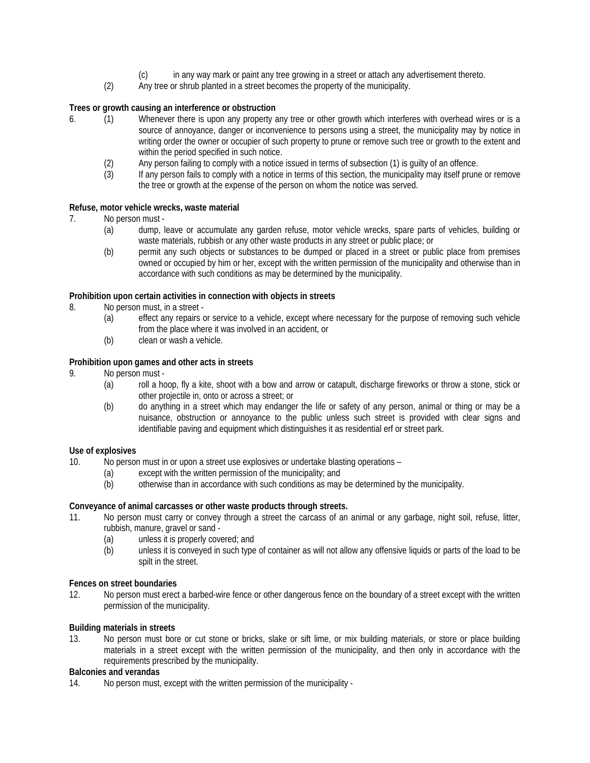- (c) in any way mark or paint any tree growing in a street or attach any advertisement thereto.
- (2) Any tree or shrub planted in a street becomes the property of the municipality.

## **Trees or growth causing an interference or obstruction**

- 6. (1) Whenever there is upon any property any tree or other growth which interferes with overhead wires or is a source of annoyance, danger or inconvenience to persons using a street, the municipality may by notice in writing order the owner or occupier of such property to prune or remove such tree or growth to the extent and within the period specified in such notice.
	- (2) Any person failing to comply with a notice issued in terms of subsection (1) is guilty of an offence.<br>(3) If any person fails to comply with a notice in terms of this section, the municipality may itself prune
	- If any person fails to comply with a notice in terms of this section, the municipality may itself prune or remove the tree or growth at the expense of the person on whom the notice was served.

#### **Refuse, motor vehicle wrecks, waste material**

- 7. No person must
	- (a) dump, leave or accumulate any garden refuse, motor vehicle wrecks, spare parts of vehicles, building or waste materials, rubbish or any other waste products in any street or public place; or
	- (b) permit any such objects or substances to be dumped or placed in a street or public place from premises owned or occupied by him or her, except with the written permission of the municipality and otherwise than in accordance with such conditions as may be determined by the municipality.

#### **Prohibition upon certain activities in connection with objects in streets**

- 8. No person must, in a street
	- (a) effect any repairs or service to a vehicle, except where necessary for the purpose of removing such vehicle from the place where it was involved in an accident, or
	- (b) clean or wash a vehicle.

## **Prohibition upon games and other acts in streets**

- 9. No person must
	- (a) roll a hoop, fly a kite, shoot with a bow and arrow or catapult, discharge fireworks or throw a stone, stick or other projectile in, onto or across a street; or
	- (b) do anything in a street which may endanger the life or safety of any person, animal or thing or may be a nuisance, obstruction or annoyance to the public unless such street is provided with clear signs and identifiable paving and equipment which distinguishes it as residential erf or street park.

### **Use of explosives**

10. No person must in or upon a street use explosives or undertake blasting operations –

- (a) except with the written permission of the municipality; and
- (b) otherwise than in accordance with such conditions as may be determined by the municipality.

#### **Conveyance of animal carcasses or other waste products through streets.**

- 11. No person must carry or convey through a street the carcass of an animal or any garbage, night soil, refuse, litter, rubbish, manure, gravel or sand -
	- (a) unless it is properly covered; and
	- (b) unless it is conveyed in such type of container as will not allow any offensive liquids or parts of the load to be spilt in the street.

# **Fences on street boundaries**<br>12. No person must erect

No person must erect a barbed-wire fence or other dangerous fence on the boundary of a street except with the written permission of the municipality.

#### **Building materials in streets**

13. No person must bore or cut stone or bricks, slake or sift lime, or mix building materials, or store or place building materials in a street except with the written permission of the municipality, and then only in accordance with the requirements prescribed by the municipality.

#### **Balconies and verandas**

14. No person must, except with the written permission of the municipality -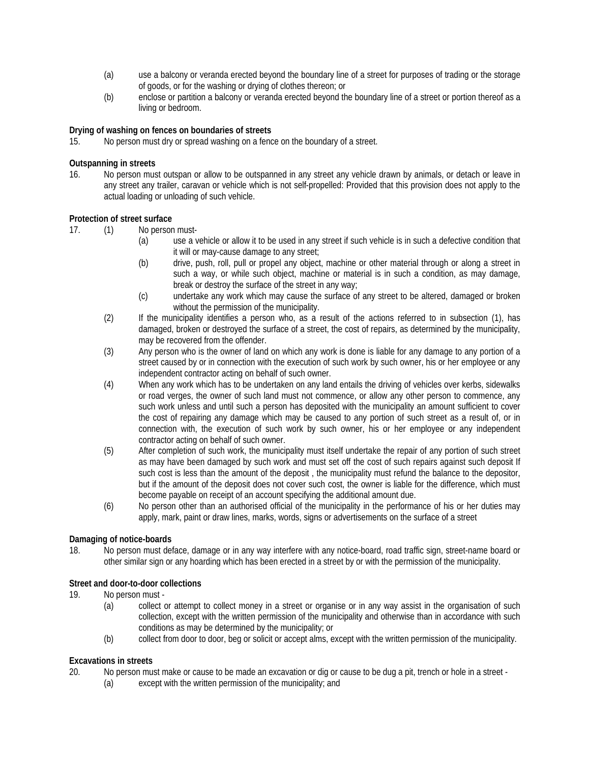- (a) use a balcony or veranda erected beyond the boundary line of a street for purposes of trading or the storage of goods, or for the washing or drying of clothes thereon; or
- (b) enclose or partition a balcony or veranda erected beyond the boundary line of a street or portion thereof as a living or bedroom.

## **Drying of washing on fences on boundaries of streets**

15. No person must dry or spread washing on a fence on the boundary of a street.

#### **Outspanning in streets**

16. No person must outspan or allow to be outspanned in any street any vehicle drawn by animals, or detach or leave in any street any trailer, caravan or vehicle which is not self-propelled: Provided that this provision does not apply to the actual loading or unloading of such vehicle.

#### **Protection of street surface**

- 17. (1) No person must-
	- (a) use a vehicle or allow it to be used in any street if such vehicle is in such a defective condition that it will or may-cause damage to any street;
	- (b) drive, push, roll, pull or propel any object, machine or other material through or along a street in such a way, or while such object, machine or material is in such a condition, as may damage, break or destroy the surface of the street in any way;
	- (c) undertake any work which may cause the surface of any street to be altered, damaged or broken without the permission of the municipality.
	- (2) If the municipality identifies a person who, as a result of the actions referred to in subsection (1), has damaged, broken or destroyed the surface of a street, the cost of repairs, as determined by the municipality, may be recovered from the offender.
	- (3) Any person who is the owner of land on which any work is done is liable for any damage to any portion of a street caused by or in connection with the execution of such work by such owner, his or her employee or any independent contractor acting on behalf of such owner.
	- (4) When any work which has to be undertaken on any land entails the driving of vehicles over kerbs, sidewalks or road verges, the owner of such land must not commence, or allow any other person to commence, any such work unless and until such a person has deposited with the municipality an amount sufficient to cover the cost of repairing any damage which may be caused to any portion of such street as a result of, or in connection with, the execution of such work by such owner, his or her employee or any independent contractor acting on behalf of such owner.
	- (5) After completion of such work, the municipality must itself undertake the repair of any portion of such street as may have been damaged by such work and must set off the cost of such repairs against such deposit If such cost is less than the amount of the deposit , the municipality must refund the balance to the depositor, but if the amount of the deposit does not cover such cost, the owner is liable for the difference, which must become payable on receipt of an account specifying the additional amount due.
	- (6) No person other than an authorised official of the municipality in the performance of his or her duties may apply, mark, paint or draw lines, marks, words, signs or advertisements on the surface of a street

#### **Damaging of notice-boards**

18. No person must deface, damage or in any way interfere with any notice-board, road traffic sign, street-name board or other similar sign or any hoarding which has been erected in a street by or with the permission of the municipality.

# **Street and door-to-door collections**<br>19. No person must -

- No person must -
	- (a) collect or attempt to collect money in a street or organise or in any way assist in the organisation of such collection, except with the written permission of the municipality and otherwise than in accordance with such conditions as may be determined by the municipality; or
	- (b) collect from door to door, beg or solicit or accept alms, except with the written permission of the municipality.

#### **Excavations in streets**

- 20. No person must make or cause to be made an excavation or dig or cause to be dug a pit, trench or hole in a street
	- (a) except with the written permission of the municipality; and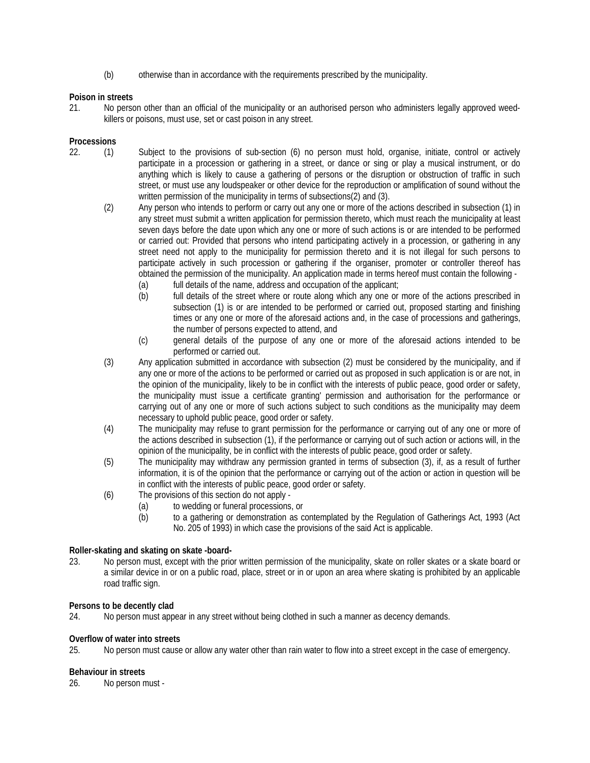(b) otherwise than in accordance with the requirements prescribed by the municipality.

## **Poison in streets**

21. No person other than an official of the municipality or an authorised person who administers legally approved weedkillers or poisons, must use, set or cast poison in any street.

### **Processions**

- 22. (1) Subject to the provisions of sub-section (6) no person must hold, organise, initiate, control or actively participate in a procession or gathering in a street, or dance or sing or play a musical instrument, or do anything which is likely to cause a gathering of persons or the disruption or obstruction of traffic in such street, or must use any loudspeaker or other device for the reproduction or amplification of sound without the written permission of the municipality in terms of subsections(2) and (3).
	- (2) Any person who intends to perform or carry out any one or more of the actions described in subsection (1) in any street must submit a written application for permission thereto, which must reach the municipality at least seven days before the date upon which any one or more of such actions is or are intended to be performed or carried out: Provided that persons who intend participating actively in a procession, or gathering in any street need not apply to the municipality for permission thereto and it is not illegal for such persons to participate actively in such procession or gathering if the organiser, promoter or controller thereof has obtained the permission of the municipality. An application made in terms hereof must contain the following -
		- (a) full details of the name, address and occupation of the applicant;
		- (b) full details of the street where or route along which any one or more of the actions prescribed in subsection (1) is or are intended to be performed or carried out, proposed starting and finishing times or any one or more of the aforesaid actions and, in the case of processions and gatherings, the number of persons expected to attend, and
		- (c) general details of the purpose of any one or more of the aforesaid actions intended to be performed or carried out.
	- (3) Any application submitted in accordance with subsection (2) must be considered by the municipality, and if any one or more of the actions to be performed or carried out as proposed in such application is or are not, in the opinion of the municipality, likely to be in conflict with the interests of public peace, good order or safety, the municipality must issue a certificate granting' permission and authorisation for the performance or carrying out of any one or more of such actions subject to such conditions as the municipality may deem necessary to uphold public peace, good order or safety.
	- (4) The municipality may refuse to grant permission for the performance or carrying out of any one or more of the actions described in subsection (1), if the performance or carrying out of such action or actions will, in the opinion of the municipality, be in conflict with the interests of public peace, good order or safety.
	- (5) The municipality may withdraw any permission granted in terms of subsection (3), if, as a result of further information, it is of the opinion that the performance or carrying out of the action or action in question will be in conflict with the interests of public peace, good order or safety.
	- (6) The provisions of this section do not apply
		- (a) to wedding or funeral processions, or
		- (b) to a gathering or demonstration as contemplated by the Regulation of Gatherings Act, 1993 (Act No. 205 of 1993) in which case the provisions of the said Act is applicable.

#### **Roller-skating and skating on skate -board-**

23. No person must, except with the prior written permission of the municipality, skate on roller skates or a skate board or a similar device in or on a public road, place, street or in or upon an area where skating is prohibited by an applicable road traffic sign.

#### **Persons to be decently clad**

24. No person must appear in any street without being clothed in such a manner as decency demands.

#### **Overflow of water into streets**

25. No person must cause or allow any water other than rain water to flow into a street except in the case of emergency.

#### **Behaviour in streets**

26. No person must -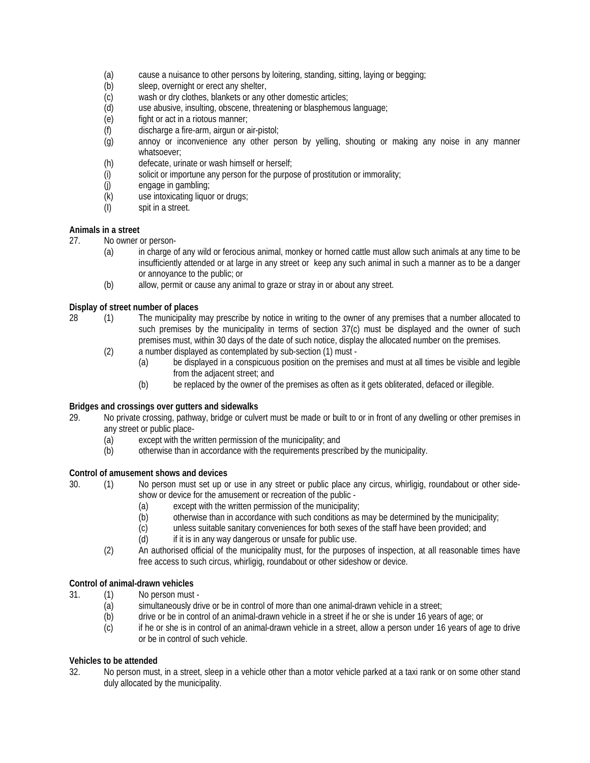- (a) cause a nuisance to other persons by loitering, standing, sitting, laying or begging;<br>(b) sleep, overnight or erect any shelter,
- sleep, overnight or erect any shelter,
- (c) wash or dry clothes, blankets or any other domestic articles;
- (d) use abusive, insulting, obscene, threatening or blasphemous language;<br>(e) fight or act in a riotous manner;
- fight or act in a riotous manner;
- (f) discharge a fire-arm, airgun or air-pistol;
- (g) annoy or inconvenience any other person by yelling, shouting or making any noise in any manner whatsoever;
- (h) defecate, urinate or wash himself or herself;
- (i) solicit or importune any person for the purpose of prostitution or immorality;
- (j) engage in gambling;
- (k) use intoxicating liquor or drugs;
- (I) spit in a street.

## **Animals in a street**

27. No owner or person-

- (a) in charge of any wild or ferocious animal, monkey or horned cattle must allow such animals at any time to be insufficiently attended or at large in any street or keep any such animal in such a manner as to be a danger or annoyance to the public; or
- (b) allow, permit or cause any animal to graze or stray in or about any street.

## **Display of street number of places**

- 28 (1) The municipality may prescribe by notice in writing to the owner of any premises that a number allocated to such premises by the municipality in terms of section 37(c) must be displayed and the owner of such premises must, within 30 days of the date of such notice, display the allocated number on the premises.
	- (2) a number displayed as contemplated by sub-section (1) must
		- (a) be displayed in a conspicuous position on the premises and must at all times be visible and legible from the adjacent street; and
		- (b) be replaced by the owner of the premises as often as it gets obliterated, defaced or illegible.

#### **Bridges and crossings over gutters and sidewalks**

- 29. No private crossing, pathway, bridge or culvert must be made or built to or in front of any dwelling or other premises in any street or public place-
	- (a) except with the written permission of the municipality; and (b) otherwise than in accordance with the requirements prescr
	- otherwise than in accordance with the requirements prescribed by the municipality.

#### **Control of amusement shows and devices**

- 30. (1) No person must set up or use in any street or public place any circus, whirligig, roundabout or other sideshow or device for the amusement or recreation of the public -
	- (a) except with the written permission of the municipality;
	- (b) otherwise than in accordance with such conditions as may be determined by the municipality;
	- (c) unless suitable sanitary conveniences for both sexes of the staff have been provided; and
	- (d) if it is in any way dangerous or unsafe for public use.
	- (2) An authorised official of the municipality must, for the purposes of inspection, at all reasonable times have free access to such circus, whirligig, roundabout or other sideshow or device.

# **Control of animal-drawn vehicles**<br>31. (1) No person must

- 31. (1) No person must
	- (a) simultaneously drive or be in control of more than one animal-drawn vehicle in a street;
	- (b) drive or be in control of an animal-drawn vehicle in a street if he or she is under 16 years of age; or
	- (c) if he or she is in control of an animal-drawn vehicle in a street, allow a person under 16 years of age to drive or be in control of such vehicle.

#### **Vehicles to be attended**

32. No person must, in a street, sleep in a vehicle other than a motor vehicle parked at a taxi rank or on some other stand duly allocated by the municipality.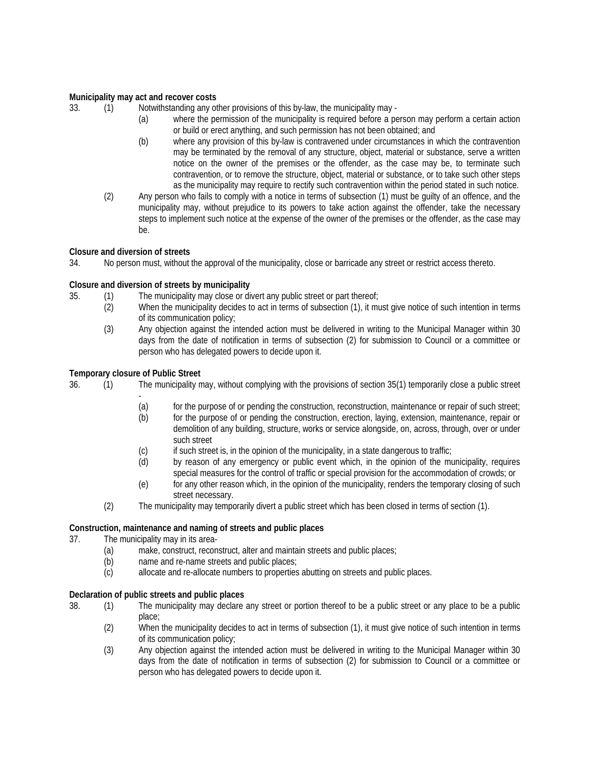### **Municipality may act and recover costs**

33. (1) Notwithstanding any other provisions of this by-law, the municipality may -

- (a) where the permission of the municipality is required before a person may perform a certain action or build or erect anything, and such permission has not been obtained; and
- (b) where any provision of this by-law is contravened under circumstances in which the contravention may be terminated by the removal of any structure, object, material or substance, serve a written notice on the owner of the premises or the offender, as the case may be, to terminate such contravention, or to remove the structure, object, material or substance, or to take such other steps as the municipality may require to rectify such contravention within the period stated in such notice.
- (2) Any person who fails to comply with a notice in terms of subsection (1) must be guilty of an offence, and the municipality may, without prejudice to its powers to take action against the offender, take the necessary steps to implement such notice at the expense of the owner of the premises or the offender, as the case may be.

## **Closure and diversion of streets**

34. No person must, without the approval of the municipality, close or barricade any street or restrict access thereto.

## **Closure and diversion of streets by municipality**

- 35. (1) The municipality may close or divert any public street or part thereof;
	- (2) When the municipality decides to act in terms of subsection (1), it must give notice of such intention in terms of its communication policy;
	- (3) Any objection against the intended action must be delivered in writing to the Municipal Manager within 30 days from the date of notification in terms of subsection (2) for submission to Council or a committee or person who has delegated powers to decide upon it.

## **Temporary closure of Public Street**

- 36. (1) The municipality may, without complying with the provisions of section 35(1) temporarily close a public street
	- (a) for the purpose of or pending the construction, reconstruction, maintenance or repair of such street;
	- (b) for the purpose of or pending the construction, erection, laying, extension, maintenance, repair or demolition of any building, structure, works or service alongside, on, across, through, over or under such street
	- (c) if such street is, in the opinion of the municipality, in a state dangerous to traffic;
	- (d) by reason of any emergency or public event which, in the opinion of the municipality, requires special measures for the control of traffic or special provision for the accommodation of crowds; or
	- (e) for any other reason which, in the opinion of the municipality, renders the temporary closing of such street necessary.
	- (2) The municipality may temporarily divert a public street which has been closed in terms of section (1).

#### **Construction, maintenance and naming of streets and public places**

37. The municipality may in its area-

- (a) make, construct, reconstruct, alter and maintain streets and public places;
- (b) name and re-name streets and public places;
- (c) allocate and re-allocate numbers to properties abutting on streets and public places.

#### **Declaration of public streets and public places**

- 38. (1) The municipality may declare any street or portion thereof to be a public street or any place to be a public place;
	- (2) When the municipality decides to act in terms of subsection (1), it must give notice of such intention in terms of its communication policy;
	- (3) Any objection against the intended action must be delivered in writing to the Municipal Manager within 30 days from the date of notification in terms of subsection (2) for submission to Council or a committee or person who has delegated powers to decide upon it.